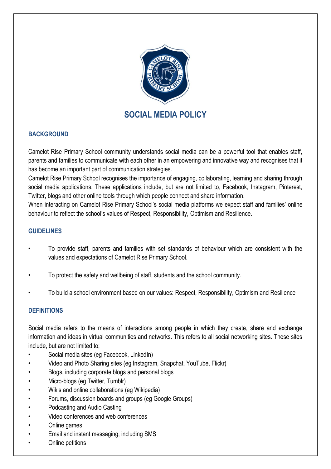

# **BACKGROUND**

Camelot Rise Primary School community understands social media can be a powerful tool that enables staff, parents and families to communicate with each other in an empowering and innovative way and recognises that it has become an important part of communication strategies.

Camelot Rise Primary School recognises the importance of engaging, collaborating, learning and sharing through social media applications. These applications include, but are not limited to, Facebook, Instagram, Pinterest, Twitter, blogs and other online tools through which people connect and share information.

When interacting on Camelot Rise Primary School's social media platforms we expect staff and families' online behaviour to reflect the school's values of Respect, Responsibility, Optimism and Resilience.

### **GUIDELINES**

- To provide staff, parents and families with set standards of behaviour which are consistent with the values and expectations of Camelot Rise Primary School.
- To protect the safety and wellbeing of staff, students and the school community.
- To build a school environment based on our values: Respect, Responsibility, Optimism and Resilience

# **DEFINITIONS**

Social media refers to the means of interactions among people in which they create, share and exchange information and ideas in virtual communities and networks. This refers to all social networking sites. These sites include, but are not limited to;

- Social media sites (eg Facebook, LinkedIn)
- Video and Photo Sharing sites (eg Instagram, Snapchat, YouTube, Flickr)
- Blogs, including corporate blogs and personal blogs
- Micro-blogs (eg Twitter, Tumblr)
- Wikis and online collaborations (eg Wikipedia)
- Forums, discussion boards and groups (eg Google Groups)
- Podcasting and Audio Casting
- Video conferences and web conferences
- Online games
- Email and instant messaging, including SMS
- Online petitions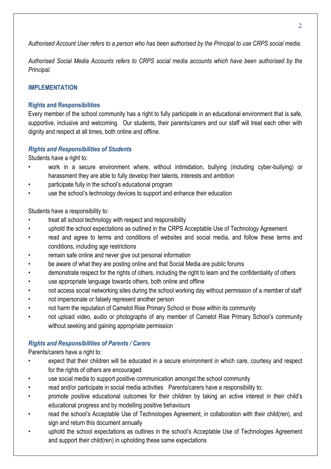*Authorised Account User refers to a person who has been authorised by the Principal to use CRPS social media.*

*Authorised Social Media Accounts refers to CRPS social media accounts which have been authorised by the Principal.*

# **IMPLEMENTATION**

## **Rights and Responsibilities**

Every member of the school community has a right to fully participate in an educational environment that is safe. supportive, inclusive and welcoming. Our students, their parents/carers and our staff will treat each other with dignity and respect at all times, both online and offline.

## *Rights and Responsibilities of Students*

Students have a right to:

- work in a secure environment where, without intimidation, bullying (including cyber-bullying) or harassment they are able to fully develop their talents, interests and ambition
- participate fully in the school's educational program
- use the school's technology devices to support and enhance their education

Students have a responsibility to:

- treat all school technology with respect and responsibility
- uphold the school expectations as outlined in the CRPS Acceptable Use of Technology Agreement
- read and agree to terms and conditions of websites and social media, and follow these terms and conditions, including age restrictions
- remain safe online and never give out personal information
- be aware of what they are posting online and that Social Media are public forums
- demonstrate respect for the rights of others, including the right to learn and the confidentiality of others
- use appropriate language towards others, both online and offline
- not access social networking sites during the school working day without permission of a member of staff
- not impersonate or falsely represent another person
- not harm the reputation of Camelot Rise Primary School or those within its community
- not upload video, audio or photographs of any member of Camelot Rise Primary School's community without seeking and gaining appropriate permission

#### *Rights and Responsibilities of Parents / Carers*

Parents/carers have a right to:

- expect that their children will be educated in a secure environment in which care, courtesy and respect for the rights of others are encouraged
- use social media to support positive communication amongst the school community
- read and/or participate in social media activities Parents/carers have a responsibility to:
- promote positive educational outcomes for their children by taking an active interest in their child's educational progress and by modelling positive behaviours
- read the school's Acceptable Use of Technologies Agreement, in collaboration with their child(ren), and sign and return this document annually
- uphold the school expectations as outlines in the school's Acceptable Use of Technologies Agreement and support their child(ren) in upholding these same expectations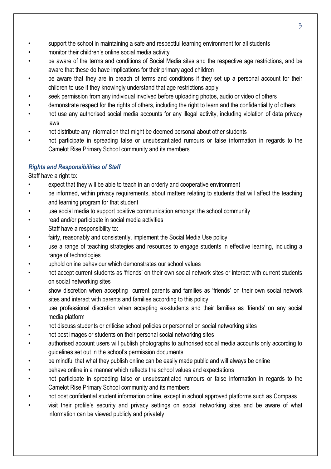- support the school in maintaining a safe and respectful learning environment for all students
- monitor their children's online social media activity
- be aware of the terms and conditions of Social Media sites and the respective age restrictions, and be aware that these do have implications for their primary aged children
- be aware that they are in breach of terms and conditions if they set up a personal account for their children to use if they knowingly understand that age restrictions apply
- seek permission from any individual involved before uploading photos, audio or video of others
- demonstrate respect for the rights of others, including the right to learn and the confidentiality of others
- not use any authorised social media accounts for any illegal activity, including violation of data privacy laws
- not distribute any information that might be deemed personal about other students
- not participate in spreading false or unsubstantiated rumours or false information in regards to the Camelot Rise Primary School community and its members

# *Rights and Responsibilities of Staff*

Staff have a right to:

- expect that they will be able to teach in an orderly and cooperative environment
- be informed, within privacy requirements, about matters relating to students that will affect the teaching and learning program for that student
- use social media to support positive communication amongst the school community
- read and/or participate in social media activities Staff have a responsibility to:
- fairly, reasonably and consistently, implement the Social Media Use policy
- use a range of teaching strategies and resources to engage students in effective learning, including a range of technologies
- uphold online behaviour which demonstrates our school values
- not accept current students as 'friends' on their own social network sites or interact with current students on social networking sites
- show discretion when accepting current parents and families as 'friends' on their own social network sites and interact with parents and families according to this policy
- use professional discretion when accepting ex-students and their families as 'friends' on any social media platform
- not discuss students or criticise school policies or personnel on social networking sites
- not post images or students on their personal social networking sites
- authorised account users will publish photographs to authorised social media accounts only according to guidelines set out in the school's permission documents
- be mindful that what they publish online can be easily made public and will always be online
- behave online in a manner which reflects the school values and expectations
- not participate in spreading false or unsubstantiated rumours or false information in regards to the Camelot Rise Primary School community and its members
- not post confidential student information online, except in school approved platforms such as Compass
- visit their profile's security and privacy settings on social networking sites and be aware of what information can be viewed publicly and privately